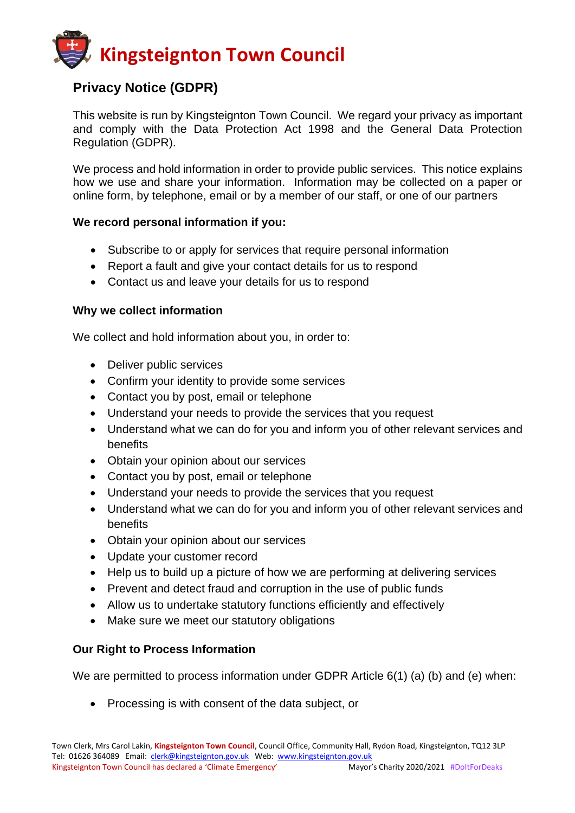

# **Privacy Notice (GDPR)**

This website is run by Kingsteignton Town Council. We regard your privacy as important and comply with the Data Protection Act 1998 and the General Data Protection Regulation (GDPR).

We process and hold information in order to provide public services. This notice explains how we use and share your information. Information may be collected on a paper or online form, by telephone, email or by a member of our staff, or one of our partners

#### **We record personal information if you:**

- Subscribe to or apply for services that require personal information
- Report a fault and give your contact details for us to respond
- Contact us and leave your details for us to respond

### **Why we collect information**

We collect and hold information about you, in order to:

- Deliver public services
- Confirm your identity to provide some services
- Contact you by post, email or telephone
- Understand your needs to provide the services that you request
- Understand what we can do for you and inform you of other relevant services and benefits
- Obtain your opinion about our services
- Contact you by post, email or telephone
- Understand your needs to provide the services that you request
- Understand what we can do for you and inform you of other relevant services and benefits
- Obtain your opinion about our services
- Update your customer record
- Help us to build up a picture of how we are performing at delivering services
- Prevent and detect fraud and corruption in the use of public funds
- Allow us to undertake statutory functions efficiently and effectively
- Make sure we meet our statutory obligations

## **Our Right to Process Information**

We are permitted to process information under GDPR Article 6(1) (a) (b) and (e) when:

• Processing is with consent of the data subject, or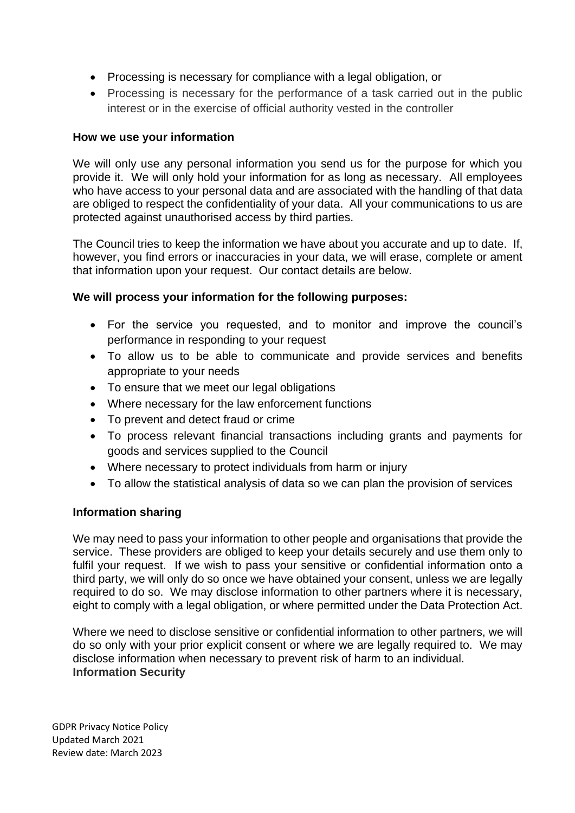- Processing is necessary for compliance with a legal obligation, or
- Processing is necessary for the performance of a task carried out in the public interest or in the exercise of official authority vested in the controller

## **How we use your information**

We will only use any personal information you send us for the purpose for which you provide it. We will only hold your information for as long as necessary. All employees who have access to your personal data and are associated with the handling of that data are obliged to respect the confidentiality of your data. All your communications to us are protected against unauthorised access by third parties.

The Council tries to keep the information we have about you accurate and up to date. If, however, you find errors or inaccuracies in your data, we will erase, complete or ament that information upon your request. Our contact details are below.

## **We will process your information for the following purposes:**

- For the service you requested, and to monitor and improve the council's performance in responding to your request
- To allow us to be able to communicate and provide services and benefits appropriate to your needs
- To ensure that we meet our legal obligations
- Where necessary for the law enforcement functions
- To prevent and detect fraud or crime
- To process relevant financial transactions including grants and payments for goods and services supplied to the Council
- Where necessary to protect individuals from harm or injury
- To allow the statistical analysis of data so we can plan the provision of services

## **Information sharing**

We may need to pass your information to other people and organisations that provide the service. These providers are obliged to keep your details securely and use them only to fulfil your request. If we wish to pass your sensitive or confidential information onto a third party, we will only do so once we have obtained your consent, unless we are legally required to do so. We may disclose information to other partners where it is necessary, eight to comply with a legal obligation, or where permitted under the Data Protection Act.

Where we need to disclose sensitive or confidential information to other partners, we will do so only with your prior explicit consent or where we are legally required to. We may disclose information when necessary to prevent risk of harm to an individual. **Information Security**

GDPR Privacy Notice Policy Updated March 2021 Review date: March 2023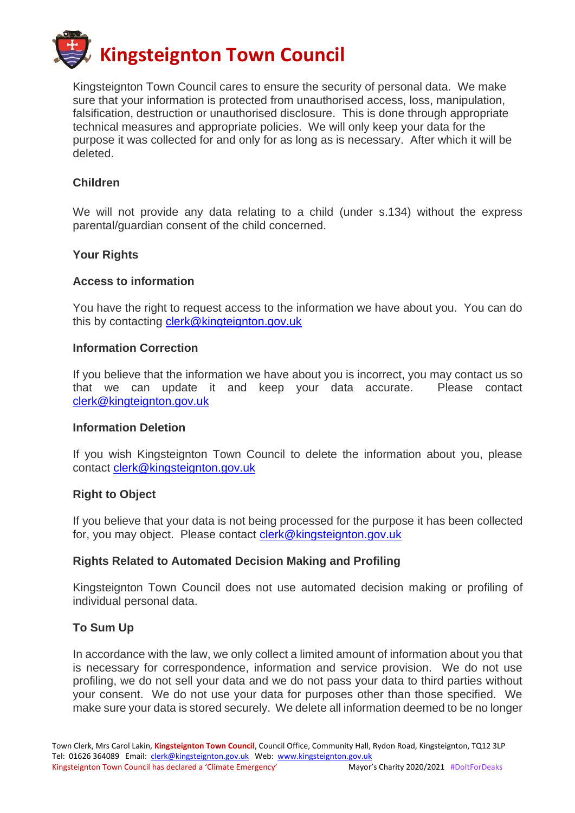

Kingsteignton Town Council cares to ensure the security of personal data. We make sure that your information is protected from unauthorised access, loss, manipulation, falsification, destruction or unauthorised disclosure. This is done through appropriate technical measures and appropriate policies. We will only keep your data for the purpose it was collected for and only for as long as is necessary. After which it will be deleted.

#### **Children**

We will not provide any data relating to a child (under s.134) without the express parental/guardian consent of the child concerned.

#### **Your Rights**

#### **Access to information**

You have the right to request access to the information we have about you. You can do this by contacting [clerk@kingteignton.gov.uk](mailto:clerk@kingteignton.gov.uk)

#### **Information Correction**

If you believe that the information we have about you is incorrect, you may contact us so that we can update it and keep your data accurate. Please contact [clerk@kingteignton.gov.uk](mailto:clerk@kingteignton.gov.uk)

#### **Information Deletion**

If you wish Kingsteignton Town Council to delete the information about you, please contact [clerk@kingsteignton.gov.uk](mailto:clerk@kingsteignton.gov.uk)

#### **Right to Object**

If you believe that your data is not being processed for the purpose it has been collected for, you may object. Please contact [clerk@kingsteignton.gov.uk](mailto:clerk@kingsteignton.gov.uk)

#### **Rights Related to Automated Decision Making and Profiling**

Kingsteignton Town Council does not use automated decision making or profiling of individual personal data.

#### **To Sum Up**

In accordance with the law, we only collect a limited amount of information about you that is necessary for correspondence, information and service provision. We do not use profiling, we do not sell your data and we do not pass your data to third parties without your consent. We do not use your data for purposes other than those specified. We make sure your data is stored securely. We delete all information deemed to be no longer